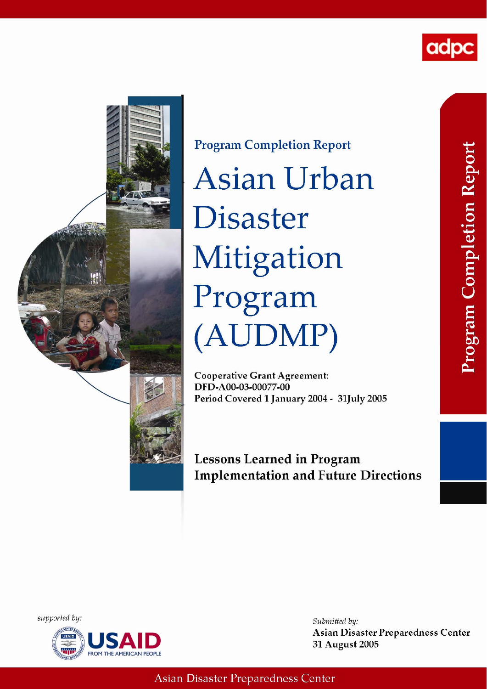



**Program Completion Report Asian Urban Disaster** Mitigation Program (AUDMP)

**Cooperative Grant Agreement:** DFD-A00-03-00077-00 Period Covered 1 January 2004 - 31July 2005

**Lessons Learned in Program Implementation and Future Directions** 

supported by:



Submitted by: **Asian Disaster Preparedness Center** 31 August 2005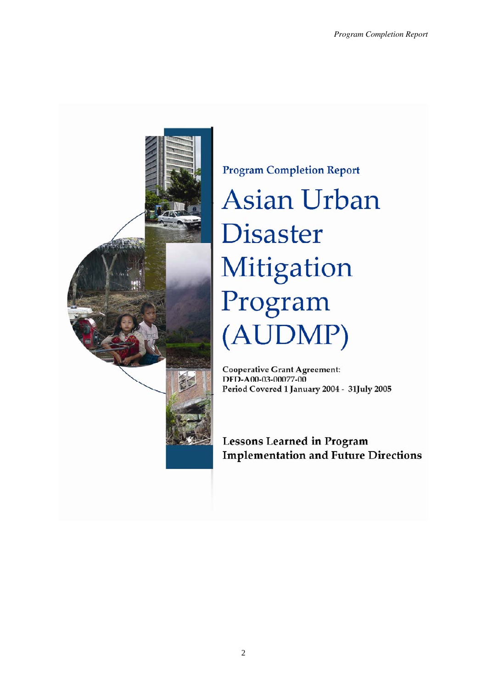

**Program Completion Report Asian Urban Disaster** Mitigation Program (AUDMP)

**Cooperative Grant Agreement:** DFD-A00-03-00077-00 Period Covered 1 January 2004 - 31July 2005

**Lessons Learned in Program Implementation and Future Directions**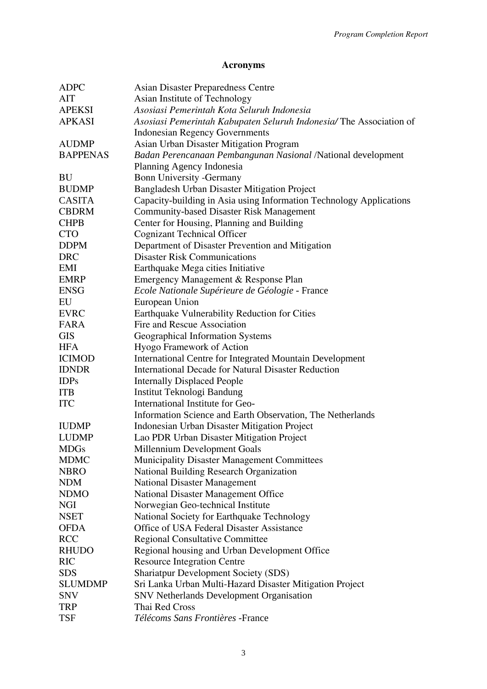# **Acronyms**

| <b>ADPC</b>     | <b>Asian Disaster Preparedness Centre</b>                           |
|-----------------|---------------------------------------------------------------------|
| AIT             | Asian Institute of Technology                                       |
| <b>APEKSI</b>   | Asosiasi Pemerintah Kota Seluruh Indonesia                          |
| <b>APKASI</b>   | Asosiasi Pemerintah Kabupaten Seluruh Indonesia/The Association of  |
|                 | <b>Indonesian Regency Governments</b>                               |
| <b>AUDMP</b>    | Asian Urban Disaster Mitigation Program                             |
| <b>BAPPENAS</b> | Badan Perencanaan Pembangunan Nasional /National development        |
|                 | Planning Agency Indonesia                                           |
| BU              | <b>Bonn University -Germany</b>                                     |
| <b>BUDMP</b>    | Bangladesh Urban Disaster Mitigation Project                        |
| <b>CASITA</b>   | Capacity-building in Asia using Information Technology Applications |
| <b>CBDRM</b>    | <b>Community-based Disaster Risk Management</b>                     |
| <b>CHPB</b>     | Center for Housing, Planning and Building                           |
| <b>CTO</b>      | <b>Cognizant Technical Officer</b>                                  |
| <b>DDPM</b>     | Department of Disaster Prevention and Mitigation                    |
| <b>DRC</b>      | <b>Disaster Risk Communications</b>                                 |
| EMI             | Earthquake Mega cities Initiative                                   |
| <b>EMRP</b>     | Emergency Management & Response Plan                                |
| <b>ENSG</b>     | Ecole Nationale Supérieure de Géologie - France                     |
| EU              | European Union                                                      |
| <b>EVRC</b>     | Earthquake Vulnerability Reduction for Cities                       |
| FARA            | Fire and Rescue Association                                         |
| <b>GIS</b>      | Geographical Information Systems                                    |
| <b>HFA</b>      | Hyogo Framework of Action                                           |
| <b>ICIMOD</b>   | International Centre for Integrated Mountain Development            |
| <b>IDNDR</b>    | <b>International Decade for Natural Disaster Reduction</b>          |
| <b>IDPs</b>     | <b>Internally Displaced People</b>                                  |
| <b>ITB</b>      | Institut Teknologi Bandung                                          |
| <b>ITC</b>      | International Institute for Geo-                                    |
|                 | Information Science and Earth Observation, The Netherlands          |
| <b>IUDMP</b>    | <b>Indonesian Urban Disaster Mitigation Project</b>                 |
| <b>LUDMP</b>    | Lao PDR Urban Disaster Mitigation Project                           |
| <b>MDGs</b>     | Millennium Development Goals                                        |
| <b>MDMC</b>     | <b>Municipality Disaster Management Committees</b>                  |
| <b>NBRO</b>     | National Building Research Organization                             |
| <b>NDM</b>      | <b>National Disaster Management</b>                                 |
| <b>NDMO</b>     | National Disaster Management Office                                 |
| <b>NGI</b>      | Norwegian Geo-technical Institute                                   |
| <b>NSET</b>     | National Society for Earthquake Technology                          |
| <b>OFDA</b>     | Office of USA Federal Disaster Assistance                           |
| <b>RCC</b>      | <b>Regional Consultative Committee</b>                              |
| <b>RHUDO</b>    | Regional housing and Urban Development Office                       |
| <b>RIC</b>      | <b>Resource Integration Centre</b>                                  |
| <b>SDS</b>      | <b>Shariatpur Development Society (SDS)</b>                         |
| <b>SLUMDMP</b>  | Sri Lanka Urban Multi-Hazard Disaster Mitigation Project            |
| <b>SNV</b>      | <b>SNV Netherlands Development Organisation</b>                     |
| <b>TRP</b>      | Thai Red Cross                                                      |
| <b>TSF</b>      | Télécoms Sans Frontières -France                                    |
|                 |                                                                     |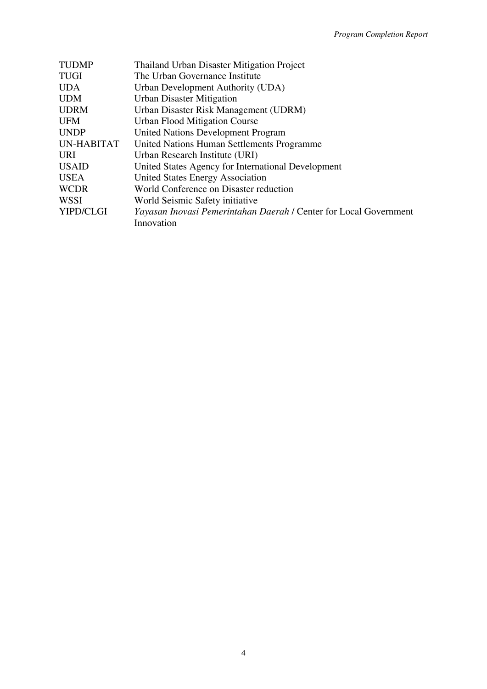| <b>TUDMP</b> | <b>Thailand Urban Disaster Mitigation Project</b>                 |
|--------------|-------------------------------------------------------------------|
| <b>TUGI</b>  | The Urban Governance Institute                                    |
| <b>UDA</b>   | Urban Development Authority (UDA)                                 |
| <b>UDM</b>   | <b>Urban Disaster Mitigation</b>                                  |
| <b>UDRM</b>  | Urban Disaster Risk Management (UDRM)                             |
| <b>UFM</b>   | <b>Urban Flood Mitigation Course</b>                              |
| <b>UNDP</b>  | <b>United Nations Development Program</b>                         |
| UN-HABITAT   | United Nations Human Settlements Programme                        |
| <b>URI</b>   | Urban Research Institute (URI)                                    |
| <b>USAID</b> | United States Agency for International Development                |
| <b>USEA</b>  | United States Energy Association                                  |
| <b>WCDR</b>  | World Conference on Disaster reduction                            |
| <b>WSSI</b>  | World Seismic Safety initiative                                   |
| YIPD/CLGI    | Yayasan Inovasi Pemerintahan Daerah / Center for Local Government |
|              | Innovation                                                        |
|              |                                                                   |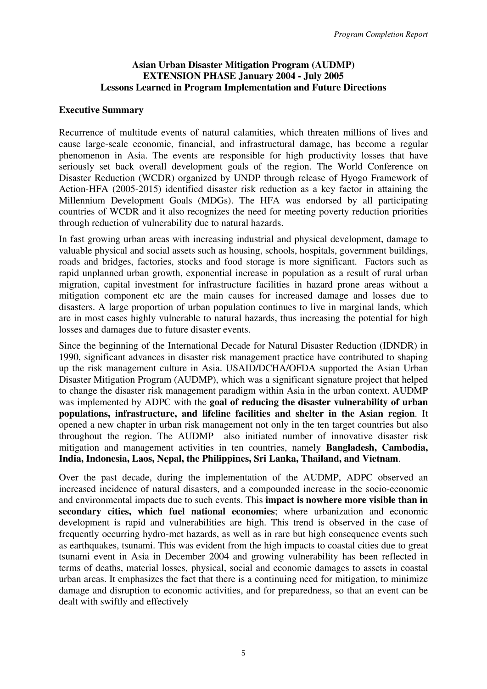### **Asian Urban Disaster Mitigation Program (AUDMP) EXTENSION PHASE January 2004 - July 2005 Lessons Learned in Program Implementation and Future Directions**

#### **Executive Summary**

Recurrence of multitude events of natural calamities, which threaten millions of lives and cause large-scale economic, financial, and infrastructural damage, has become a regular phenomenon in Asia. The events are responsible for high productivity losses that have seriously set back overall development goals of the region. The World Conference on Disaster Reduction (WCDR) organized by UNDP through release of Hyogo Framework of Action-HFA (2005-2015) identified disaster risk reduction as a key factor in attaining the Millennium Development Goals (MDGs). The HFA was endorsed by all participating countries of WCDR and it also recognizes the need for meeting poverty reduction priorities through reduction of vulnerability due to natural hazards.

In fast growing urban areas with increasing industrial and physical development, damage to valuable physical and social assets such as housing, schools, hospitals, government buildings, roads and bridges, factories, stocks and food storage is more significant. Factors such as rapid unplanned urban growth, exponential increase in population as a result of rural urban migration, capital investment for infrastructure facilities in hazard prone areas without a mitigation component etc are the main causes for increased damage and losses due to disasters. A large proportion of urban population continues to live in marginal lands, which are in most cases highly vulnerable to natural hazards, thus increasing the potential for high losses and damages due to future disaster events.

Since the beginning of the International Decade for Natural Disaster Reduction (IDNDR) in 1990, significant advances in disaster risk management practice have contributed to shaping up the risk management culture in Asia. USAID/DCHA/OFDA supported the Asian Urban Disaster Mitigation Program (AUDMP), which was a significant signature project that helped to change the disaster risk management paradigm within Asia in the urban context. AUDMP was implemented by ADPC with the **goal of reducing the disaster vulnerability of urban populations, infrastructure, and lifeline facilities and shelter in the Asian region**. It opened a new chapter in urban risk management not only in the ten target countries but also throughout the region. The AUDMP also initiated number of innovative disaster risk mitigation and management activities in ten countries, namely **Bangladesh, Cambodia, India, Indonesia, Laos, Nepal, the Philippines, Sri Lanka, Thailand, and Vietnam**.

Over the past decade, during the implementation of the AUDMP, ADPC observed an increased incidence of natural disasters, and a compounded increase in the socio-economic and environmental impacts due to such events. This **impact is nowhere more visible than in secondary cities, which fuel national economies**; where urbanization and economic development is rapid and vulnerabilities are high. This trend is observed in the case of frequently occurring hydro-met hazards, as well as in rare but high consequence events such as earthquakes, tsunami. This was evident from the high impacts to coastal cities due to great tsunami event in Asia in December 2004 and growing vulnerability has been reflected in terms of deaths, material losses, physical, social and economic damages to assets in coastal urban areas. It emphasizes the fact that there is a continuing need for mitigation, to minimize damage and disruption to economic activities, and for preparedness, so that an event can be dealt with swiftly and effectively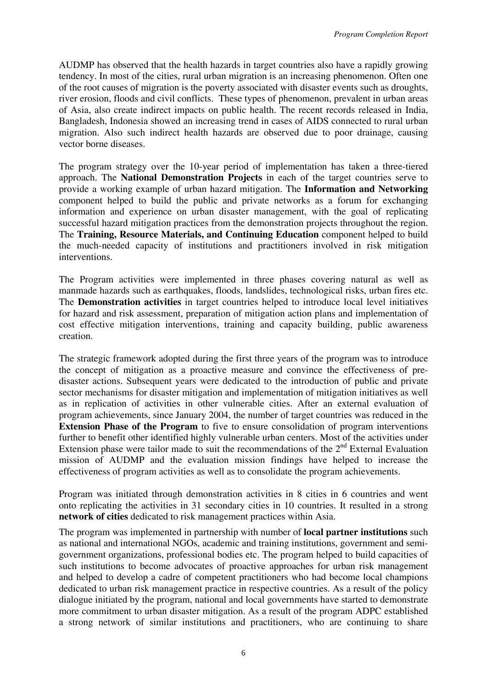AUDMP has observed that the health hazards in target countries also have a rapidly growing tendency. In most of the cities, rural urban migration is an increasing phenomenon. Often one of the root causes of migration is the poverty associated with disaster events such as droughts, river erosion, floods and civil conflicts. These types of phenomenon, prevalent in urban areas of Asia, also create indirect impacts on public health. The recent records released in India, Bangladesh, Indonesia showed an increasing trend in cases of AIDS connected to rural urban migration. Also such indirect health hazards are observed due to poor drainage, causing vector borne diseases.

The program strategy over the 10-year period of implementation has taken a three-tiered approach. The **National Demonstration Projects** in each of the target countries serve to provide a working example of urban hazard mitigation. The **Information and Networking** component helped to build the public and private networks as a forum for exchanging information and experience on urban disaster management, with the goal of replicating successful hazard mitigation practices from the demonstration projects throughout the region. The **Training, Resource Materials, and Continuing Education** component helped to build the much-needed capacity of institutions and practitioners involved in risk mitigation interventions.

The Program activities were implemented in three phases covering natural as well as manmade hazards such as earthquakes, floods, landslides, technological risks, urban fires etc. The **Demonstration activities** in target countries helped to introduce local level initiatives for hazard and risk assessment, preparation of mitigation action plans and implementation of cost effective mitigation interventions, training and capacity building, public awareness creation.

The strategic framework adopted during the first three years of the program was to introduce the concept of mitigation as a proactive measure and convince the effectiveness of predisaster actions. Subsequent years were dedicated to the introduction of public and private sector mechanisms for disaster mitigation and implementation of mitigation initiatives as well as in replication of activities in other vulnerable cities. After an external evaluation of program achievements, since January 2004, the number of target countries was reduced in the **Extension Phase of the Program** to five to ensure consolidation of program interventions further to benefit other identified highly vulnerable urban centers. Most of the activities under Extension phase were tailor made to suit the recommendations of the  $2<sup>nd</sup>$  External Evaluation mission of AUDMP and the evaluation mission findings have helped to increase the effectiveness of program activities as well as to consolidate the program achievements.

Program was initiated through demonstration activities in 8 cities in 6 countries and went onto replicating the activities in 31 secondary cities in 10 countries. It resulted in a strong **network of cities** dedicated to risk management practices within Asia.

The program was implemented in partnership with number of **local partner institutions** such as national and international NGOs, academic and training institutions, government and semigovernment organizations, professional bodies etc. The program helped to build capacities of such institutions to become advocates of proactive approaches for urban risk management and helped to develop a cadre of competent practitioners who had become local champions dedicated to urban risk management practice in respective countries. As a result of the policy dialogue initiated by the program, national and local governments have started to demonstrate more commitment to urban disaster mitigation. As a result of the program ADPC established a strong network of similar institutions and practitioners, who are continuing to share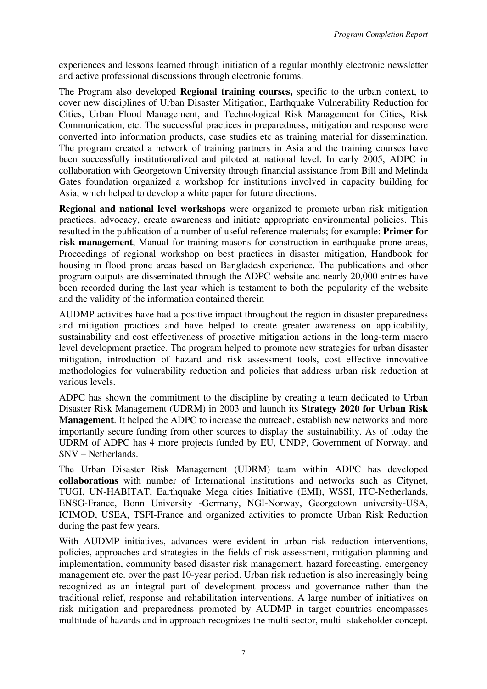experiences and lessons learned through initiation of a regular monthly electronic newsletter and active professional discussions through electronic forums.

The Program also developed **Regional training courses,** specific to the urban context, to cover new disciplines of Urban Disaster Mitigation, Earthquake Vulnerability Reduction for Cities, Urban Flood Management, and Technological Risk Management for Cities, Risk Communication, etc. The successful practices in preparedness, mitigation and response were converted into information products, case studies etc as training material for dissemination. The program created a network of training partners in Asia and the training courses have been successfully institutionalized and piloted at national level. In early 2005, ADPC in collaboration with Georgetown University through financial assistance from Bill and Melinda Gates foundation organized a workshop for institutions involved in capacity building for Asia, which helped to develop a white paper for future directions.

**Regional and national level workshops** were organized to promote urban risk mitigation practices, advocacy, create awareness and initiate appropriate environmental policies. This resulted in the publication of a number of useful reference materials; for example: **Primer for risk management**, Manual for training masons for construction in earthquake prone areas, Proceedings of regional workshop on best practices in disaster mitigation, Handbook for housing in flood prone areas based on Bangladesh experience. The publications and other program outputs are disseminated through the ADPC website and nearly 20,000 entries have been recorded during the last year which is testament to both the popularity of the website and the validity of the information contained therein

AUDMP activities have had a positive impact throughout the region in disaster preparedness and mitigation practices and have helped to create greater awareness on applicability, sustainability and cost effectiveness of proactive mitigation actions in the long-term macro level development practice. The program helped to promote new strategies for urban disaster mitigation, introduction of hazard and risk assessment tools, cost effective innovative methodologies for vulnerability reduction and policies that address urban risk reduction at various levels.

ADPC has shown the commitment to the discipline by creating a team dedicated to Urban Disaster Risk Management (UDRM) in 2003 and launch its **Strategy 2020 for Urban Risk Management**. It helped the ADPC to increase the outreach, establish new networks and more importantly secure funding from other sources to display the sustainability. As of today the UDRM of ADPC has 4 more projects funded by EU, UNDP, Government of Norway, and SNV – Netherlands.

The Urban Disaster Risk Management (UDRM) team within ADPC has developed **collaborations** with number of International institutions and networks such as Citynet, TUGI, UN-HABITAT, Earthquake Mega cities Initiative (EMI), WSSI, ITC-Netherlands, ENSG-France, Bonn University -Germany, NGI-Norway, Georgetown university-USA, ICIMOD, USEA, TSFI-France and organized activities to promote Urban Risk Reduction during the past few years.

With AUDMP initiatives, advances were evident in urban risk reduction interventions, policies, approaches and strategies in the fields of risk assessment, mitigation planning and implementation, community based disaster risk management, hazard forecasting, emergency management etc. over the past 10-year period. Urban risk reduction is also increasingly being recognized as an integral part of development process and governance rather than the traditional relief, response and rehabilitation interventions. A large number of initiatives on risk mitigation and preparedness promoted by AUDMP in target countries encompasses multitude of hazards and in approach recognizes the multi-sector, multi- stakeholder concept.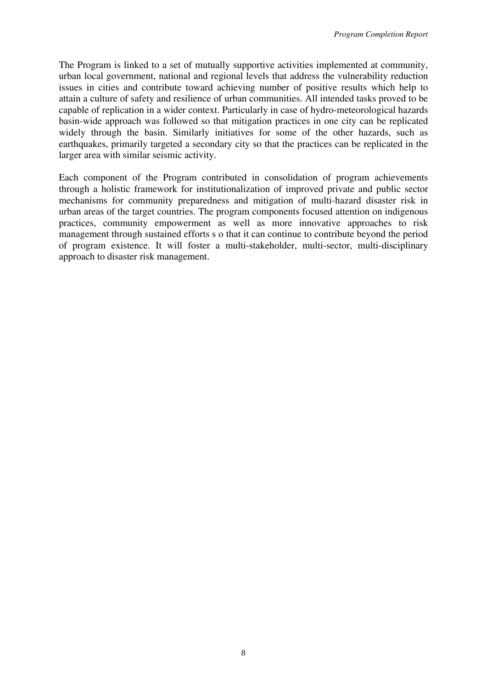The Program is linked to a set of mutually supportive activities implemented at community, urban local government, national and regional levels that address the vulnerability reduction issues in cities and contribute toward achieving number of positive results which help to attain a culture of safety and resilience of urban communities. All intended tasks proved to be capable of replication in a wider context. Particularly in case of hydro-meteorological hazards basin-wide approach was followed so that mitigation practices in one city can be replicated widely through the basin. Similarly initiatives for some of the other hazards, such as earthquakes, primarily targeted a secondary city so that the practices can be replicated in the larger area with similar seismic activity.

Each component of the Program contributed in consolidation of program achievements through a holistic framework for institutionalization of improved private and public sector mechanisms for community preparedness and mitigation of multi-hazard disaster risk in urban areas of the target countries. The program components focused attention on indigenous practices, community empowerment as well as more innovative approaches to risk management through sustained efforts s o that it can continue to contribute beyond the period of program existence. It will foster a multi-stakeholder, multi-sector, multi-disciplinary approach to disaster risk management.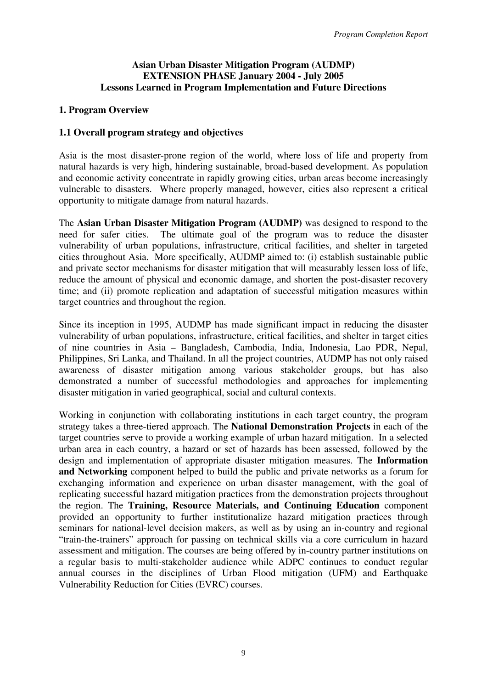### **Asian Urban Disaster Mitigation Program (AUDMP) EXTENSION PHASE January 2004 - July 2005 Lessons Learned in Program Implementation and Future Directions**

### **1. Program Overview**

### **1.1 Overall program strategy and objectives**

Asia is the most disaster-prone region of the world, where loss of life and property from natural hazards is very high, hindering sustainable, broad-based development. As population and economic activity concentrate in rapidly growing cities, urban areas become increasingly vulnerable to disasters. Where properly managed, however, cities also represent a critical opportunity to mitigate damage from natural hazards.

The **Asian Urban Disaster Mitigation Program (AUDMP)** was designed to respond to the need for safer cities. The ultimate goal of the program was to reduce the disaster vulnerability of urban populations, infrastructure, critical facilities, and shelter in targeted cities throughout Asia. More specifically, AUDMP aimed to: (i) establish sustainable public and private sector mechanisms for disaster mitigation that will measurably lessen loss of life, reduce the amount of physical and economic damage, and shorten the post-disaster recovery time; and (ii) promote replication and adaptation of successful mitigation measures within target countries and throughout the region.

Since its inception in 1995, AUDMP has made significant impact in reducing the disaster vulnerability of urban populations, infrastructure, critical facilities, and shelter in target cities of nine countries in Asia – Bangladesh, Cambodia, India, Indonesia, Lao PDR, Nepal, Philippines, Sri Lanka, and Thailand. In all the project countries, AUDMP has not only raised awareness of disaster mitigation among various stakeholder groups, but has also demonstrated a number of successful methodologies and approaches for implementing disaster mitigation in varied geographical, social and cultural contexts.

Working in conjunction with collaborating institutions in each target country, the program strategy takes a three-tiered approach. The **National Demonstration Projects** in each of the target countries serve to provide a working example of urban hazard mitigation. In a selected urban area in each country, a hazard or set of hazards has been assessed, followed by the design and implementation of appropriate disaster mitigation measures. The **Information and Networking** component helped to build the public and private networks as a forum for exchanging information and experience on urban disaster management, with the goal of replicating successful hazard mitigation practices from the demonstration projects throughout the region. The **Training, Resource Materials, and Continuing Education** component provided an opportunity to further institutionalize hazard mitigation practices through seminars for national-level decision makers, as well as by using an in-country and regional "train-the-trainers" approach for passing on technical skills via a core curriculum in hazard assessment and mitigation. The courses are being offered by in-country partner institutions on a regular basis to multi-stakeholder audience while ADPC continues to conduct regular annual courses in the disciplines of Urban Flood mitigation (UFM) and Earthquake Vulnerability Reduction for Cities (EVRC) courses.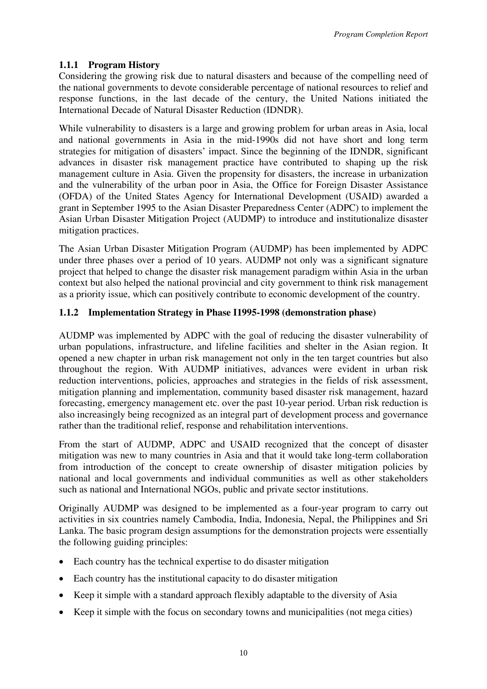# **1.1.1 Program History**

Considering the growing risk due to natural disasters and because of the compelling need of the national governments to devote considerable percentage of national resources to relief and response functions, in the last decade of the century, the United Nations initiated the International Decade of Natural Disaster Reduction (IDNDR).

While vulnerability to disasters is a large and growing problem for urban areas in Asia, local and national governments in Asia in the mid-1990s did not have short and long term strategies for mitigation of disasters' impact. Since the beginning of the IDNDR, significant advances in disaster risk management practice have contributed to shaping up the risk management culture in Asia. Given the propensity for disasters, the increase in urbanization and the vulnerability of the urban poor in Asia, the Office for Foreign Disaster Assistance (OFDA) of the United States Agency for International Development (USAID) awarded a grant in September 1995 to the Asian Disaster Preparedness Center (ADPC) to implement the Asian Urban Disaster Mitigation Project (AUDMP) to introduce and institutionalize disaster mitigation practices.

The Asian Urban Disaster Mitigation Program (AUDMP) has been implemented by ADPC under three phases over a period of 10 years. AUDMP not only was a significant signature project that helped to change the disaster risk management paradigm within Asia in the urban context but also helped the national provincial and city government to think risk management as a priority issue, which can positively contribute to economic development of the country.

# **1.1.2 Implementation Strategy in Phase I1995-1998 (demonstration phase)**

AUDMP was implemented by ADPC with the goal of reducing the disaster vulnerability of urban populations, infrastructure, and lifeline facilities and shelter in the Asian region. It opened a new chapter in urban risk management not only in the ten target countries but also throughout the region. With AUDMP initiatives, advances were evident in urban risk reduction interventions, policies, approaches and strategies in the fields of risk assessment, mitigation planning and implementation, community based disaster risk management, hazard forecasting, emergency management etc. over the past 10-year period. Urban risk reduction is also increasingly being recognized as an integral part of development process and governance rather than the traditional relief, response and rehabilitation interventions.

From the start of AUDMP, ADPC and USAID recognized that the concept of disaster mitigation was new to many countries in Asia and that it would take long-term collaboration from introduction of the concept to create ownership of disaster mitigation policies by national and local governments and individual communities as well as other stakeholders such as national and International NGOs, public and private sector institutions.

Originally AUDMP was designed to be implemented as a four-year program to carry out activities in six countries namely Cambodia, India, Indonesia, Nepal, the Philippines and Sri Lanka. The basic program design assumptions for the demonstration projects were essentially the following guiding principles:

- Each country has the technical expertise to do disaster mitigation
- Each country has the institutional capacity to do disaster mitigation
- Keep it simple with a standard approach flexibly adaptable to the diversity of Asia
- Keep it simple with the focus on secondary towns and municipalities (not mega cities)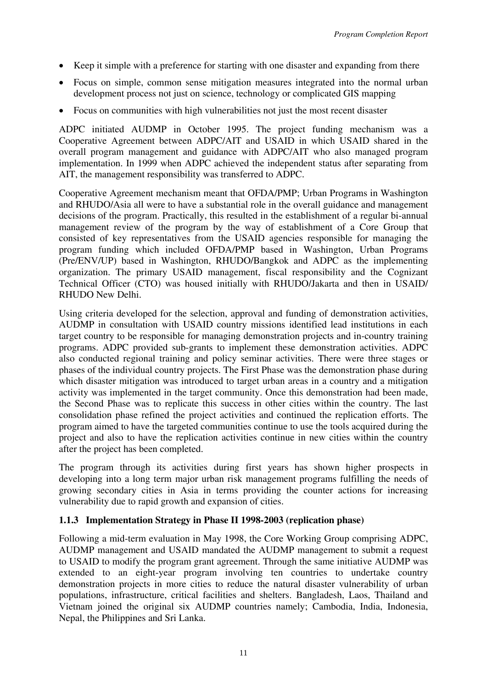- Keep it simple with a preference for starting with one disaster and expanding from there
- Focus on simple, common sense mitigation measures integrated into the normal urban development process not just on science, technology or complicated GIS mapping
- Focus on communities with high vulnerabilities not just the most recent disaster

ADPC initiated AUDMP in October 1995. The project funding mechanism was a Cooperative Agreement between ADPC/AIT and USAID in which USAID shared in the overall program management and guidance with ADPC/AIT who also managed program implementation. In 1999 when ADPC achieved the independent status after separating from AIT, the management responsibility was transferred to ADPC.

Cooperative Agreement mechanism meant that OFDA/PMP; Urban Programs in Washington and RHUDO/Asia all were to have a substantial role in the overall guidance and management decisions of the program. Practically, this resulted in the establishment of a regular bi-annual management review of the program by the way of establishment of a Core Group that consisted of key representatives from the USAID agencies responsible for managing the program funding which included OFDA/PMP based in Washington, Urban Programs (Pre/ENV/UP) based in Washington, RHUDO/Bangkok and ADPC as the implementing organization. The primary USAID management, fiscal responsibility and the Cognizant Technical Officer (CTO) was housed initially with RHUDO/Jakarta and then in USAID/ RHUDO New Delhi.

Using criteria developed for the selection, approval and funding of demonstration activities, AUDMP in consultation with USAID country missions identified lead institutions in each target country to be responsible for managing demonstration projects and in-country training programs. ADPC provided sub-grants to implement these demonstration activities. ADPC also conducted regional training and policy seminar activities. There were three stages or phases of the individual country projects. The First Phase was the demonstration phase during which disaster mitigation was introduced to target urban areas in a country and a mitigation activity was implemented in the target community. Once this demonstration had been made, the Second Phase was to replicate this success in other cities within the country. The last consolidation phase refined the project activities and continued the replication efforts. The program aimed to have the targeted communities continue to use the tools acquired during the project and also to have the replication activities continue in new cities within the country after the project has been completed.

The program through its activities during first years has shown higher prospects in developing into a long term major urban risk management programs fulfilling the needs of growing secondary cities in Asia in terms providing the counter actions for increasing vulnerability due to rapid growth and expansion of cities.

### **1.1.3 Implementation Strategy in Phase II 1998-2003 (replication phase)**

Following a mid-term evaluation in May 1998, the Core Working Group comprising ADPC, AUDMP management and USAID mandated the AUDMP management to submit a request to USAID to modify the program grant agreement. Through the same initiative AUDMP was extended to an eight-year program involving ten countries to undertake country demonstration projects in more cities to reduce the natural disaster vulnerability of urban populations, infrastructure, critical facilities and shelters. Bangladesh, Laos, Thailand and Vietnam joined the original six AUDMP countries namely; Cambodia, India, Indonesia, Nepal, the Philippines and Sri Lanka.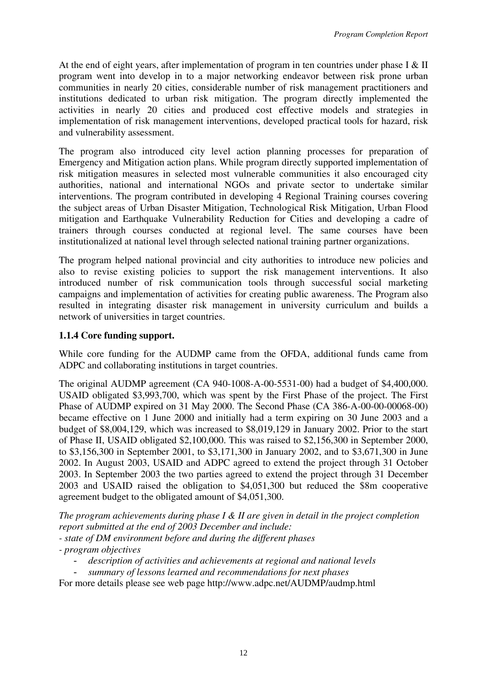At the end of eight years, after implementation of program in ten countries under phase I & II program went into develop in to a major networking endeavor between risk prone urban communities in nearly 20 cities, considerable number of risk management practitioners and institutions dedicated to urban risk mitigation. The program directly implemented the activities in nearly 20 cities and produced cost effective models and strategies in implementation of risk management interventions, developed practical tools for hazard, risk and vulnerability assessment.

The program also introduced city level action planning processes for preparation of Emergency and Mitigation action plans. While program directly supported implementation of risk mitigation measures in selected most vulnerable communities it also encouraged city authorities, national and international NGOs and private sector to undertake similar interventions. The program contributed in developing 4 Regional Training courses covering the subject areas of Urban Disaster Mitigation, Technological Risk Mitigation, Urban Flood mitigation and Earthquake Vulnerability Reduction for Cities and developing a cadre of trainers through courses conducted at regional level. The same courses have been institutionalized at national level through selected national training partner organizations.

The program helped national provincial and city authorities to introduce new policies and also to revise existing policies to support the risk management interventions. It also introduced number of risk communication tools through successful social marketing campaigns and implementation of activities for creating public awareness. The Program also resulted in integrating disaster risk management in university curriculum and builds a network of universities in target countries.

# **1.1.4 Core funding support.**

While core funding for the AUDMP came from the OFDA, additional funds came from ADPC and collaborating institutions in target countries.

The original AUDMP agreement (CA 940-1008-A-00-5531-00) had a budget of \$4,400,000. USAID obligated \$3,993,700, which was spent by the First Phase of the project. The First Phase of AUDMP expired on 31 May 2000. The Second Phase (CA 386-A-00-00-00068-00) became effective on 1 June 2000 and initially had a term expiring on 30 June 2003 and a budget of \$8,004,129, which was increased to \$8,019,129 in January 2002. Prior to the start of Phase II, USAID obligated \$2,100,000. This was raised to \$2,156,300 in September 2000, to \$3,156,300 in September 2001, to \$3,171,300 in January 2002, and to \$3,671,300 in June 2002. In August 2003, USAID and ADPC agreed to extend the project through 31 October 2003. In September 2003 the two parties agreed to extend the project through 31 December 2003 and USAID raised the obligation to \$4,051,300 but reduced the \$8m cooperative agreement budget to the obligated amount of \$4,051,300.

*The program achievements during phase I & II are given in detail in the project completion report submitted at the end of 2003 December and include:* 

- *state of DM environment before and during the different phases*
- *program objectives* 
	- *description of activities and achievements at regional and national levels*
	- *summary of lessons learned and recommendations for next phases*

For more details please see web page http://www.adpc.net/AUDMP/audmp.html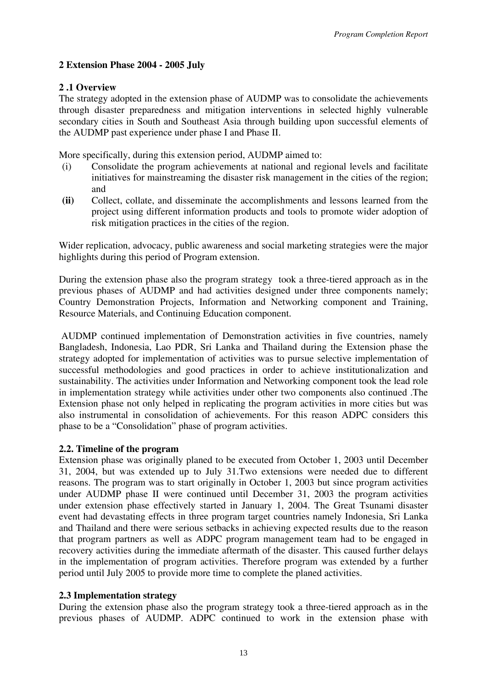# **2 Extension Phase 2004 - 2005 July**

## **2 .1 Overview**

The strategy adopted in the extension phase of AUDMP was to consolidate the achievements through disaster preparedness and mitigation interventions in selected highly vulnerable secondary cities in South and Southeast Asia through building upon successful elements of the AUDMP past experience under phase I and Phase II.

More specifically, during this extension period, AUDMP aimed to:

- (i) Consolidate the program achievements at national and regional levels and facilitate initiatives for mainstreaming the disaster risk management in the cities of the region; and
- **(ii)** Collect, collate, and disseminate the accomplishments and lessons learned from the project using different information products and tools to promote wider adoption of risk mitigation practices in the cities of the region.

Wider replication, advocacy, public awareness and social marketing strategies were the major highlights during this period of Program extension.

During the extension phase also the program strategy took a three-tiered approach as in the previous phases of AUDMP and had activities designed under three components namely; Country Demonstration Projects, Information and Networking component and Training, Resource Materials, and Continuing Education component.

 AUDMP continued implementation of Demonstration activities in five countries, namely Bangladesh, Indonesia, Lao PDR, Sri Lanka and Thailand during the Extension phase the strategy adopted for implementation of activities was to pursue selective implementation of successful methodologies and good practices in order to achieve institutionalization and sustainability. The activities under Information and Networking component took the lead role in implementation strategy while activities under other two components also continued .The Extension phase not only helped in replicating the program activities in more cities but was also instrumental in consolidation of achievements. For this reason ADPC considers this phase to be a "Consolidation" phase of program activities.

### **2.2. Timeline of the program**

Extension phase was originally planed to be executed from October 1, 2003 until December 31, 2004, but was extended up to July 31.Two extensions were needed due to different reasons. The program was to start originally in October 1, 2003 but since program activities under AUDMP phase II were continued until December 31, 2003 the program activities under extension phase effectively started in January 1, 2004. The Great Tsunami disaster event had devastating effects in three program target countries namely Indonesia, Sri Lanka and Thailand and there were serious setbacks in achieving expected results due to the reason that program partners as well as ADPC program management team had to be engaged in recovery activities during the immediate aftermath of the disaster. This caused further delays in the implementation of program activities. Therefore program was extended by a further period until July 2005 to provide more time to complete the planed activities.

### **2.3 Implementation strategy**

During the extension phase also the program strategy took a three-tiered approach as in the previous phases of AUDMP. ADPC continued to work in the extension phase with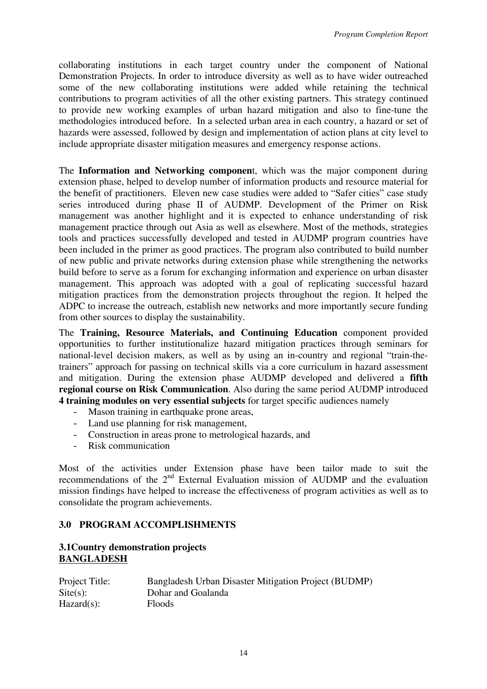collaborating institutions in each target country under the component of National Demonstration Projects. In order to introduce diversity as well as to have wider outreached some of the new collaborating institutions were added while retaining the technical contributions to program activities of all the other existing partners. This strategy continued to provide new working examples of urban hazard mitigation and also to fine-tune the methodologies introduced before. In a selected urban area in each country, a hazard or set of hazards were assessed, followed by design and implementation of action plans at city level to include appropriate disaster mitigation measures and emergency response actions.

The **Information and Networking componen**t, which was the major component during extension phase, helped to develop number of information products and resource material for the benefit of practitioners. Eleven new case studies were added to "Safer cities" case study series introduced during phase II of AUDMP. Development of the Primer on Risk management was another highlight and it is expected to enhance understanding of risk management practice through out Asia as well as elsewhere. Most of the methods, strategies tools and practices successfully developed and tested in AUDMP program countries have been included in the primer as good practices. The program also contributed to build number of new public and private networks during extension phase while strengthening the networks build before to serve as a forum for exchanging information and experience on urban disaster management. This approach was adopted with a goal of replicating successful hazard mitigation practices from the demonstration projects throughout the region. It helped the ADPC to increase the outreach, establish new networks and more importantly secure funding from other sources to display the sustainability.

The **Training, Resource Materials, and Continuing Education** component provided opportunities to further institutionalize hazard mitigation practices through seminars for national-level decision makers, as well as by using an in-country and regional "train-thetrainers" approach for passing on technical skills via a core curriculum in hazard assessment and mitigation. During the extension phase AUDMP developed and delivered a **fifth regional course on Risk Communication**. Also during the same period AUDMP introduced **4 training modules on very essential subjects** for target specific audiences namely

- Mason training in earthquake prone areas,
- Land use planning for risk management,
- Construction in areas prone to metrological hazards, and
- Risk communication

Most of the activities under Extension phase have been tailor made to suit the recommendations of the 2<sup>nd</sup> External Evaluation mission of AUDMP and the evaluation mission findings have helped to increase the effectiveness of program activities as well as to consolidate the program achievements.

# **3.0 PROGRAM ACCOMPLISHMENTS**

### **3.1Country demonstration projects BANGLADESH**

| Project Title:     | Bangladesh Urban Disaster Mitigation Project (BUDMP) |
|--------------------|------------------------------------------------------|
| $\text{Site}(s)$ : | Dohar and Goalanda                                   |
| $Hazard(s)$ :      | <b>Floods</b>                                        |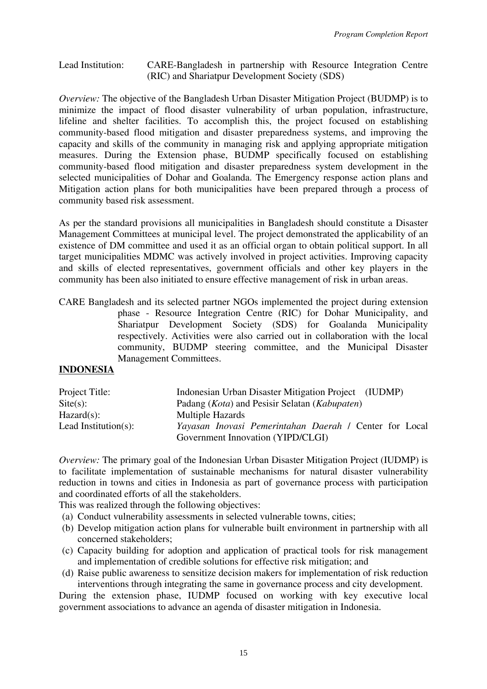#### Lead Institution: CARE-Bangladesh in partnership with Resource Integration Centre (RIC) and Shariatpur Development Society (SDS)

*Overview:* The objective of the Bangladesh Urban Disaster Mitigation Project (BUDMP) is to minimize the impact of flood disaster vulnerability of urban population, infrastructure, lifeline and shelter facilities. To accomplish this, the project focused on establishing community-based flood mitigation and disaster preparedness systems, and improving the capacity and skills of the community in managing risk and applying appropriate mitigation measures. During the Extension phase, BUDMP specifically focused on establishing community-based flood mitigation and disaster preparedness system development in the selected municipalities of Dohar and Goalanda. The Emergency response action plans and Mitigation action plans for both municipalities have been prepared through a process of community based risk assessment.

As per the standard provisions all municipalities in Bangladesh should constitute a Disaster Management Committees at municipal level. The project demonstrated the applicability of an existence of DM committee and used it as an official organ to obtain political support. In all target municipalities MDMC was actively involved in project activities. Improving capacity and skills of elected representatives, government officials and other key players in the community has been also initiated to ensure effective management of risk in urban areas.

CARE Bangladesh and its selected partner NGOs implemented the project during extension phase - Resource Integration Centre (RIC) for Dohar Municipality, and Shariatpur Development Society (SDS) for Goalanda Municipality respectively. Activities were also carried out in collaboration with the local community, BUDMP steering committee, and the Municipal Disaster Management Committees.

#### **INDONESIA**

| Project Title:       | Indonesian Urban Disaster Mitigation Project (IUDMP)            |
|----------------------|-----------------------------------------------------------------|
| $\text{Site}(s)$ :   | Padang ( <i>Kota</i> ) and Pesisir Selatan ( <i>Kabupaten</i> ) |
| $Hazard(s)$ :        | <b>Multiple Hazards</b>                                         |
| Lead Institution(s): | Yayasan Inovasi Pemerintahan Daerah / Center for Local          |
|                      | Government Innovation (YIPD/CLGI)                               |

*Overview:* The primary goal of the Indonesian Urban Disaster Mitigation Project (IUDMP) is to facilitate implementation of sustainable mechanisms for natural disaster vulnerability reduction in towns and cities in Indonesia as part of governance process with participation and coordinated efforts of all the stakeholders.

This was realized through the following objectives:

- (a) Conduct vulnerability assessments in selected vulnerable towns, cities;
- (b) Develop mitigation action plans for vulnerable built environment in partnership with all concerned stakeholders;
- (c) Capacity building for adoption and application of practical tools for risk management and implementation of credible solutions for effective risk mitigation; and
- (d) Raise public awareness to sensitize decision makers for implementation of risk reduction interventions through integrating the same in governance process and city development.

During the extension phase, IUDMP focused on working with key executive local government associations to advance an agenda of disaster mitigation in Indonesia.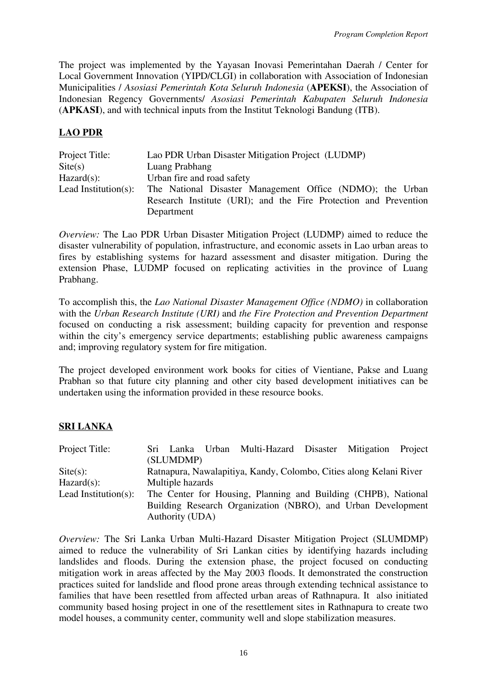The project was implemented by the Yayasan Inovasi Pemerintahan Daerah / Center for Local Government Innovation (YIPD/CLGI) in collaboration with Association of Indonesian Municipalities / *Asosiasi Pemerintah Kota Seluruh Indonesia* (**APEKSI**), the Association of Indonesian Regency Governments/ *Asosiasi Pemerintah Kabupaten Seluruh Indonesia*  (**APKASI**), and with technical inputs from the Institut Teknologi Bandung (ITB).

### **LAO PDR**

| Project Title:       | Lao PDR Urban Disaster Mitigation Project (LUDMP)                                                                             |
|----------------------|-------------------------------------------------------------------------------------------------------------------------------|
| $\text{Site}(s)$     | Luang Prabhang                                                                                                                |
| $Hazard(s)$ :        | Urban fire and road safety                                                                                                    |
| Lead Institution(s): | The National Disaster Management Office (NDMO); the Urban<br>Research Institute (URI); and the Fire Protection and Prevention |
|                      | Department                                                                                                                    |

*Overview:* The Lao PDR Urban Disaster Mitigation Project (LUDMP) aimed to reduce the disaster vulnerability of population, infrastructure, and economic assets in Lao urban areas to fires by establishing systems for hazard assessment and disaster mitigation. During the extension Phase, LUDMP focused on replicating activities in the province of Luang Prabhang.

To accomplish this, the *Lao National Disaster Management Office (NDMO)* in collaboration with the *Urban Research Institute (URI)* and *the Fire Protection and Prevention Department* focused on conducting a risk assessment; building capacity for prevention and response within the city's emergency service departments; establishing public awareness campaigns and; improving regulatory system for fire mitigation.

The project developed environment work books for cities of Vientiane, Pakse and Luang Prabhan so that future city planning and other city based development initiatives can be undertaken using the information provided in these resource books.

# **SRI LANKA**

| Project Title:       |                  | Sri Lanka Urban Multi-Hazard Disaster Mitigation                   |  | Project |
|----------------------|------------------|--------------------------------------------------------------------|--|---------|
|                      | (SLUMDMP)        |                                                                    |  |         |
| $\text{Site}(s)$ :   |                  | Ratnapura, Nawalapitiya, Kandy, Colombo, Cities along Kelani River |  |         |
| $Hazard(s)$ :        | Multiple hazards |                                                                    |  |         |
| Lead Institution(s): |                  | The Center for Housing, Planning and Building (CHPB), National     |  |         |
|                      |                  | Building Research Organization (NBRO), and Urban Development       |  |         |
|                      | Authority (UDA)  |                                                                    |  |         |

*Overview:* The Sri Lanka Urban Multi-Hazard Disaster Mitigation Project (SLUMDMP) aimed to reduce the vulnerability of Sri Lankan cities by identifying hazards including landslides and floods. During the extension phase, the project focused on conducting mitigation work in areas affected by the May 2003 floods. It demonstrated the construction practices suited for landslide and flood prone areas through extending technical assistance to families that have been resettled from affected urban areas of Rathnapura. It also initiated community based hosing project in one of the resettlement sites in Rathnapura to create two model houses, a community center, community well and slope stabilization measures.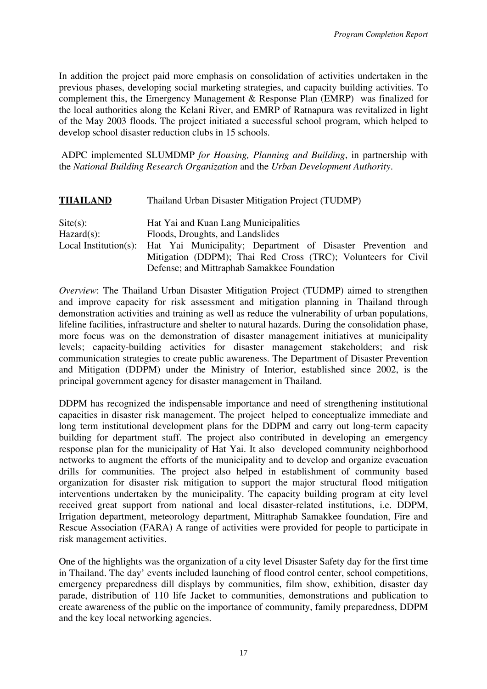In addition the project paid more emphasis on consolidation of activities undertaken in the previous phases, developing social marketing strategies, and capacity building activities. To complement this, the Emergency Management & Response Plan (EMRP) was finalized for the local authorities along the Kelani River, and EMRP of Ratnapura was revitalized in light of the May 2003 floods. The project initiated a successful school program, which helped to develop school disaster reduction clubs in 15 schools.

 ADPC implemented SLUMDMP *for Housing, Planning and Building*, in partnership with the *National Building Research Organization* and the *Urban Development Authority*.

| <b>THAILAND</b>                     | Thailand Urban Disaster Mitigation Project (TUDMP)                                                                                                                                                                                                                            |
|-------------------------------------|-------------------------------------------------------------------------------------------------------------------------------------------------------------------------------------------------------------------------------------------------------------------------------|
| $\text{Site}(s)$ :<br>$Hazard(s)$ : | Hat Yai and Kuan Lang Municipalities<br>Floods, Droughts, and Landslides<br>Local Institution(s): Hat Yai Municipality; Department of Disaster Prevention and<br>Mitigation (DDPM); Thai Red Cross (TRC); Volunteers for Civil<br>Defense; and Mittraphab Samakkee Foundation |

*Overview*: The Thailand Urban Disaster Mitigation Project (TUDMP) aimed to strengthen and improve capacity for risk assessment and mitigation planning in Thailand through demonstration activities and training as well as reduce the vulnerability of urban populations, lifeline facilities, infrastructure and shelter to natural hazards. During the consolidation phase, more focus was on the demonstration of disaster management initiatives at municipality levels; capacity-building activities for disaster management stakeholders; and risk communication strategies to create public awareness. The Department of Disaster Prevention and Mitigation (DDPM) under the Ministry of Interior, established since 2002, is the principal government agency for disaster management in Thailand.

DDPM has recognized the indispensable importance and need of strengthening institutional capacities in disaster risk management. The project helped to conceptualize immediate and long term institutional development plans for the DDPM and carry out long-term capacity building for department staff. The project also contributed in developing an emergency response plan for the municipality of Hat Yai. It also developed community neighborhood networks to augment the efforts of the municipality and to develop and organize evacuation drills for communities. The project also helped in establishment of community based organization for disaster risk mitigation to support the major structural flood mitigation interventions undertaken by the municipality. The capacity building program at city level received great support from national and local disaster-related institutions, i.e. DDPM, Irrigation department, meteorology department, Mittraphab Samakkee foundation, Fire and Rescue Association (FARA) A range of activities were provided for people to participate in risk management activities.

One of the highlights was the organization of a city level Disaster Safety day for the first time in Thailand. The day' events included launching of flood control center, school competitions, emergency preparedness dill displays by communities, film show, exhibition, disaster day parade, distribution of 110 life Jacket to communities, demonstrations and publication to create awareness of the public on the importance of community, family preparedness, DDPM and the key local networking agencies.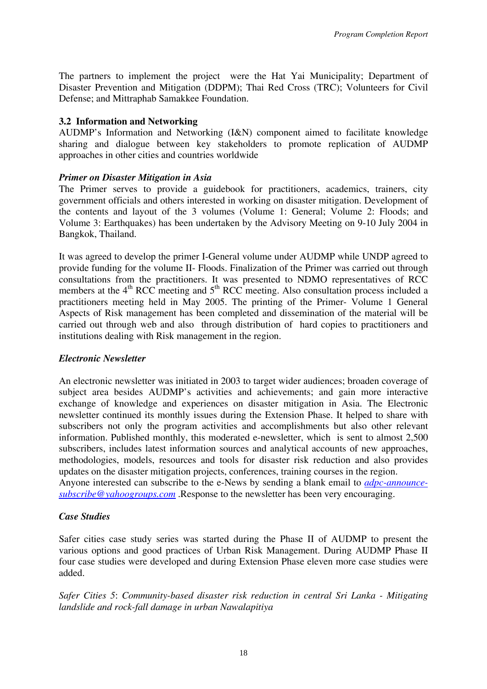The partners to implement the project were the Hat Yai Municipality; Department of Disaster Prevention and Mitigation (DDPM); Thai Red Cross (TRC); Volunteers for Civil Defense; and Mittraphab Samakkee Foundation.

## **3.2 Information and Networking**

AUDMP's Information and Networking (I&N) component aimed to facilitate knowledge sharing and dialogue between key stakeholders to promote replication of AUDMP approaches in other cities and countries worldwide

# *Primer on Disaster Mitigation in Asia*

The Primer serves to provide a guidebook for practitioners, academics, trainers, city government officials and others interested in working on disaster mitigation. Development of the contents and layout of the 3 volumes (Volume 1: General; Volume 2: Floods; and Volume 3: Earthquakes) has been undertaken by the Advisory Meeting on 9-10 July 2004 in Bangkok, Thailand.

It was agreed to develop the primer I-General volume under AUDMP while UNDP agreed to provide funding for the volume II- Floods. Finalization of the Primer was carried out through consultations from the practitioners. It was presented to NDMO representatives of RCC members at the  $4<sup>th</sup>$  RCC meeting and  $5<sup>th</sup>$  RCC meeting. Also consultation process included a practitioners meeting held in May 2005. The printing of the Primer- Volume 1 General Aspects of Risk management has been completed and dissemination of the material will be carried out through web and also through distribution of hard copies to practitioners and institutions dealing with Risk management in the region.

# *Electronic Newsletter*

An electronic newsletter was initiated in 2003 to target wider audiences; broaden coverage of subject area besides AUDMP's activities and achievements; and gain more interactive exchange of knowledge and experiences on disaster mitigation in Asia. The Electronic newsletter continued its monthly issues during the Extension Phase. It helped to share with subscribers not only the program activities and accomplishments but also other relevant information. Published monthly, this moderated e-newsletter, which is sent to almost 2,500 subscribers, includes latest information sources and analytical accounts of new approaches, methodologies, models, resources and tools for disaster risk reduction and also provides updates on the disaster mitigation projects, conferences, training courses in the region. Anyone interested can subscribe to the e-News by sending a blank email to *adpc-announce-*

*subscribe@yahoogroups.com* .Response to the newsletter has been very encouraging.

# *Case Studies*

Safer cities case study series was started during the Phase II of AUDMP to present the various options and good practices of Urban Risk Management. During AUDMP Phase II four case studies were developed and during Extension Phase eleven more case studies were added.

*Safer Cities 5*: *Community-based disaster risk reduction in central Sri Lanka - Mitigating landslide and rock-fall damage in urban Nawalapitiya*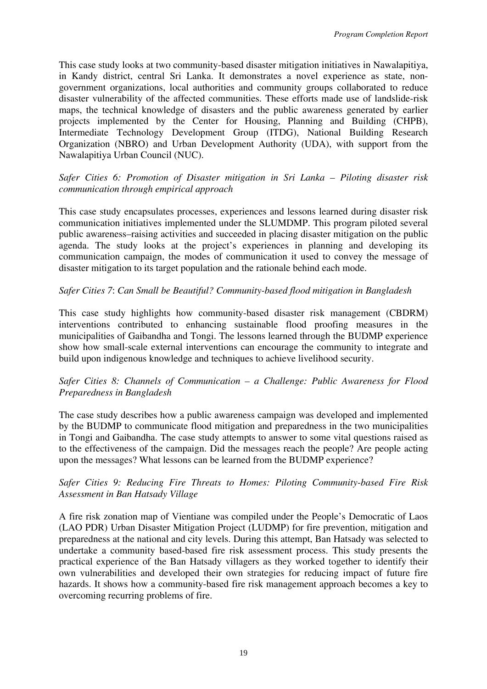This case study looks at two community-based disaster mitigation initiatives in Nawalapitiya, in Kandy district, central Sri Lanka. It demonstrates a novel experience as state, nongovernment organizations, local authorities and community groups collaborated to reduce disaster vulnerability of the affected communities. These efforts made use of landslide-risk maps, the technical knowledge of disasters and the public awareness generated by earlier projects implemented by the Center for Housing, Planning and Building (CHPB), Intermediate Technology Development Group (ITDG), National Building Research Organization (NBRO) and Urban Development Authority (UDA), with support from the Nawalapitiya Urban Council (NUC).

#### *Safer Cities 6: Promotion of Disaster mitigation in Sri Lanka – Piloting disaster risk communication through empirical approach*

This case study encapsulates processes, experiences and lessons learned during disaster risk communication initiatives implemented under the SLUMDMP. This program piloted several public awareness–raising activities and succeeded in placing disaster mitigation on the public agenda. The study looks at the project's experiences in planning and developing its communication campaign, the modes of communication it used to convey the message of disaster mitigation to its target population and the rationale behind each mode.

### *Safer Cities 7*: *Can Small be Beautiful? Community-based flood mitigation in Bangladesh*

This case study highlights how community-based disaster risk management (CBDRM) interventions contributed to enhancing sustainable flood proofing measures in the municipalities of Gaibandha and Tongi. The lessons learned through the BUDMP experience show how small-scale external interventions can encourage the community to integrate and build upon indigenous knowledge and techniques to achieve livelihood security.

### *Safer Cities 8: Channels of Communication – a Challenge: Public Awareness for Flood Preparedness in Bangladesh*

The case study describes how a public awareness campaign was developed and implemented by the BUDMP to communicate flood mitigation and preparedness in the two municipalities in Tongi and Gaibandha. The case study attempts to answer to some vital questions raised as to the effectiveness of the campaign. Did the messages reach the people? Are people acting upon the messages? What lessons can be learned from the BUDMP experience?

### *Safer Cities 9: Reducing Fire Threats to Homes: Piloting Community-based Fire Risk Assessment in Ban Hatsady Village*

A fire risk zonation map of Vientiane was compiled under the People's Democratic of Laos (LAO PDR) Urban Disaster Mitigation Project (LUDMP) for fire prevention, mitigation and preparedness at the national and city levels. During this attempt, Ban Hatsady was selected to undertake a community based-based fire risk assessment process. This study presents the practical experience of the Ban Hatsady villagers as they worked together to identify their own vulnerabilities and developed their own strategies for reducing impact of future fire hazards. It shows how a community-based fire risk management approach becomes a key to overcoming recurring problems of fire.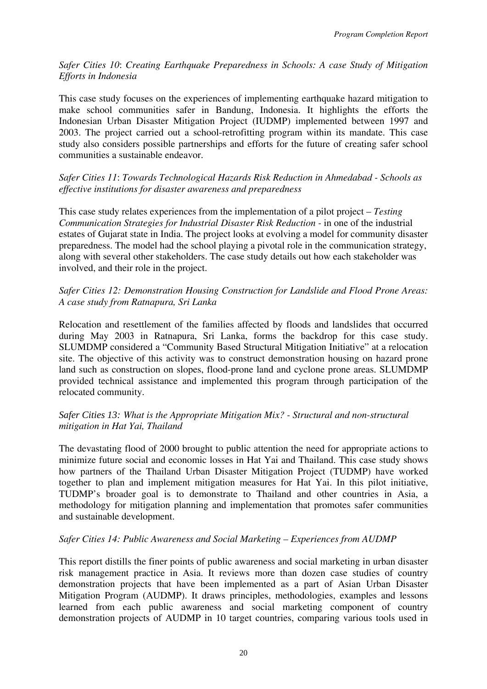*Safer Cities 10*: *Creating Earthquake Preparedness in Schools: A case Study of Mitigation Efforts in Indonesia* 

This case study focuses on the experiences of implementing earthquake hazard mitigation to make school communities safer in Bandung, Indonesia. It highlights the efforts the Indonesian Urban Disaster Mitigation Project (IUDMP) implemented between 1997 and 2003. The project carried out a school-retrofitting program within its mandate. This case study also considers possible partnerships and efforts for the future of creating safer school communities a sustainable endeavor.

*Safer Cities 11*: *Towards Technological Hazards Risk Reduction in Ahmedabad - Schools as effective institutions for disaster awareness and preparedness*

This case study relates experiences from the implementation of a pilot project – *Testing Communication Strategies for Industrial Disaster Risk Reduction - in one of the industrial* estates of Gujarat state in India. The project looks at evolving a model for community disaster preparedness. The model had the school playing a pivotal role in the communication strategy, along with several other stakeholders. The case study details out how each stakeholder was involved, and their role in the project.

### *Safer Cities 12: Demonstration Housing Construction for Landslide and Flood Prone Areas: A case study from Ratnapura, Sri Lanka*

Relocation and resettlement of the families affected by floods and landslides that occurred during May 2003 in Ratnapura, Sri Lanka, forms the backdrop for this case study. SLUMDMP considered a "Community Based Structural Mitigation Initiative" at a relocation site. The objective of this activity was to construct demonstration housing on hazard prone land such as construction on slopes, flood-prone land and cyclone prone areas. SLUMDMP provided technical assistance and implemented this program through participation of the relocated community.

### *Safer Cities 13: What is the Appropriate Mitigation Mix? - Structural and non-structural mitigation in Hat Yai, Thailand*

The devastating flood of 2000 brought to public attention the need for appropriate actions to minimize future social and economic losses in Hat Yai and Thailand. This case study shows how partners of the Thailand Urban Disaster Mitigation Project (TUDMP) have worked together to plan and implement mitigation measures for Hat Yai. In this pilot initiative, TUDMP's broader goal is to demonstrate to Thailand and other countries in Asia, a methodology for mitigation planning and implementation that promotes safer communities and sustainable development.

### *Safer Cities 14: Public Awareness and Social Marketing – Experiences from AUDMP*

This report distills the finer points of public awareness and social marketing in urban disaster risk management practice in Asia. It reviews more than dozen case studies of country demonstration projects that have been implemented as a part of Asian Urban Disaster Mitigation Program (AUDMP). It draws principles, methodologies, examples and lessons learned from each public awareness and social marketing component of country demonstration projects of AUDMP in 10 target countries, comparing various tools used in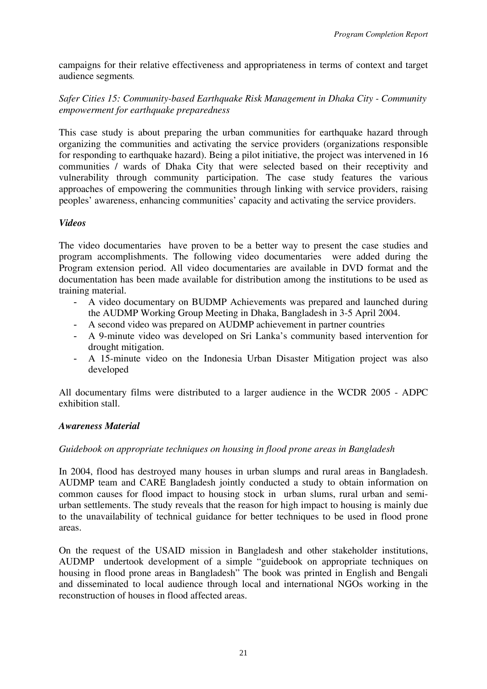campaigns for their relative effectiveness and appropriateness in terms of context and target audience segments*.*

*Safer Cities 15: Community-based Earthquake Risk Management in Dhaka City - Community empowerment for earthquake preparedness* 

This case study is about preparing the urban communities for earthquake hazard through organizing the communities and activating the service providers (organizations responsible for responding to earthquake hazard). Being a pilot initiative, the project was intervened in 16 communities / wards of Dhaka City that were selected based on their receptivity and vulnerability through community participation. The case study features the various approaches of empowering the communities through linking with service providers, raising peoples' awareness, enhancing communities' capacity and activating the service providers.

### *Videos*

The video documentaries have proven to be a better way to present the case studies and program accomplishments. The following video documentaries were added during the Program extension period. All video documentaries are available in DVD format and the documentation has been made available for distribution among the institutions to be used as training material.

- A video documentary on BUDMP Achievements was prepared and launched during the AUDMP Working Group Meeting in Dhaka, Bangladesh in 3-5 April 2004.
- A second video was prepared on AUDMP achievement in partner countries
- A 9-minute video was developed on Sri Lanka's community based intervention for drought mitigation.
- A 15-minute video on the Indonesia Urban Disaster Mitigation project was also developed

All documentary films were distributed to a larger audience in the WCDR 2005 - ADPC exhibition stall.

# *Awareness Material*

# *Guidebook on appropriate techniques on housing in flood prone areas in Bangladesh*

In 2004, flood has destroyed many houses in urban slumps and rural areas in Bangladesh. AUDMP team and CARE Bangladesh jointly conducted a study to obtain information on common causes for flood impact to housing stock in urban slums, rural urban and semiurban settlements. The study reveals that the reason for high impact to housing is mainly due to the unavailability of technical guidance for better techniques to be used in flood prone areas.

On the request of the USAID mission in Bangladesh and other stakeholder institutions, AUDMP undertook development of a simple "guidebook on appropriate techniques on housing in flood prone areas in Bangladesh" The book was printed in English and Bengali and disseminated to local audience through local and international NGOs working in the reconstruction of houses in flood affected areas.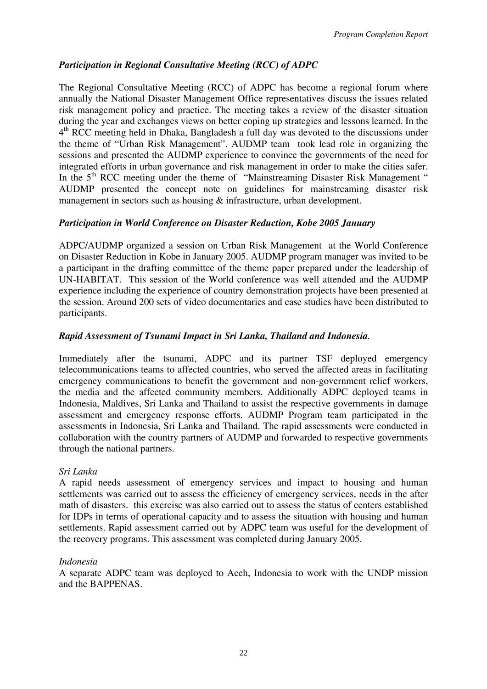# *Participation in Regional Consultative Meeting (RCC) of ADPC*

The Regional Consultative Meeting (RCC) of ADPC has become a regional forum where annually the National Disaster Management Office representatives discuss the issues related risk management policy and practice. The meeting takes a review of the disaster situation during the year and exchanges views on better coping up strategies and lessons learned. In the  $4<sup>th</sup>$  RCC meeting held in Dhaka, Bangladesh a full day was devoted to the discussions under the theme of "Urban Risk Management". AUDMP team took lead role in organizing the sessions and presented the AUDMP experience to convince the governments of the need for integrated efforts in urban governance and risk management in order to make the cities safer. In the 5<sup>th</sup> RCC meeting under the theme of "Mainstreaming Disaster Risk Management" AUDMP presented the concept note on guidelines for mainstreaming disaster risk management in sectors such as housing & infrastructure, urban development.

# *Participation in World Conference on Disaster Reduction, Kobe 2005 January*

ADPC/AUDMP organized a session on Urban Risk Management at the World Conference on Disaster Reduction in Kobe in January 2005. AUDMP program manager was invited to be a participant in the drafting committee of the theme paper prepared under the leadership of UN-HABITAT. This session of the World conference was well attended and the AUDMP experience including the experience of country demonstration projects have been presented at the session. Around 200 sets of video documentaries and case studies have been distributed to participants.

# *Rapid Assessment of Tsunami Impact in Sri Lanka, Thailand and Indonesia.*

Immediately after the tsunami, ADPC and its partner TSF deployed emergency telecommunications teams to affected countries, who served the affected areas in facilitating emergency communications to benefit the government and non-government relief workers, the media and the affected community members. Additionally ADPC deployed teams in Indonesia, Maldives, Sri Lanka and Thailand to assist the respective governments in damage assessment and emergency response efforts. AUDMP Program team participated in the assessments in Indonesia, Sri Lanka and Thailand. The rapid assessments were conducted in collaboration with the country partners of AUDMP and forwarded to respective governments through the national partners.

### *Sri Lanka*

A rapid needs assessment of emergency services and impact to housing and human settlements was carried out to assess the efficiency of emergency services, needs in the after math of disasters. this exercise was also carried out to assess the status of centers established for IDPs in terms of operational capacity and to assess the situation with housing and human settlements. Rapid assessment carried out by ADPC team was useful for the development of the recovery programs. This assessment was completed during January 2005.

### *Indonesia*

A separate ADPC team was deployed to Aceh, Indonesia to work with the UNDP mission and the BAPPENAS.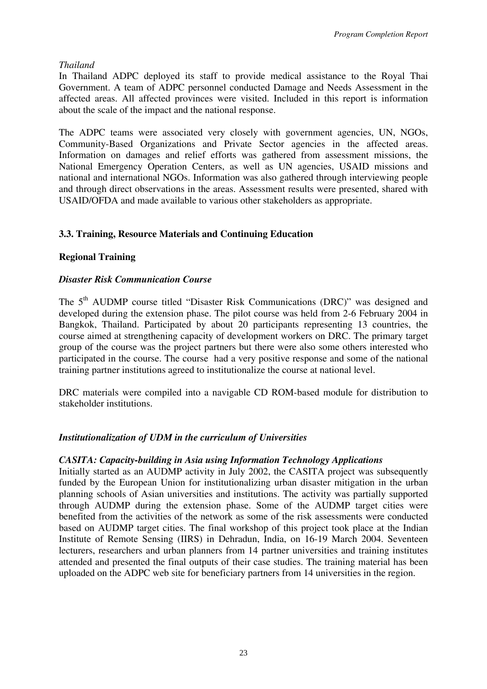*Thailand* 

In Thailand ADPC deployed its staff to provide medical assistance to the Royal Thai Government. A team of ADPC personnel conducted Damage and Needs Assessment in the affected areas. All affected provinces were visited. Included in this report is information about the scale of the impact and the national response.

The ADPC teams were associated very closely with government agencies, UN, NGOs, Community-Based Organizations and Private Sector agencies in the affected areas. Information on damages and relief efforts was gathered from assessment missions, the National Emergency Operation Centers, as well as UN agencies, USAID missions and national and international NGOs. Information was also gathered through interviewing people and through direct observations in the areas. Assessment results were presented, shared with USAID/OFDA and made available to various other stakeholders as appropriate.

# **3.3. Training, Resource Materials and Continuing Education**

# **Regional Training**

### *Disaster Risk Communication Course*

The 5<sup>th</sup> AUDMP course titled "Disaster Risk Communications (DRC)" was designed and developed during the extension phase. The pilot course was held from 2-6 February 2004 in Bangkok, Thailand. Participated by about 20 participants representing 13 countries, the course aimed at strengthening capacity of development workers on DRC. The primary target group of the course was the project partners but there were also some others interested who participated in the course. The course had a very positive response and some of the national training partner institutions agreed to institutionalize the course at national level.

DRC materials were compiled into a navigable CD ROM-based module for distribution to stakeholder institutions.

### *Institutionalization of UDM in the curriculum of Universities*

### *CASITA: Capacity-building in Asia using Information Technology Applications*

Initially started as an AUDMP activity in July 2002, the CASITA project was subsequently funded by the European Union for institutionalizing urban disaster mitigation in the urban planning schools of Asian universities and institutions. The activity was partially supported through AUDMP during the extension phase. Some of the AUDMP target cities were benefited from the activities of the network as some of the risk assessments were conducted based on AUDMP target cities. The final workshop of this project took place at the Indian Institute of Remote Sensing (IIRS) in Dehradun, India, on 16-19 March 2004. Seventeen lecturers, researchers and urban planners from 14 partner universities and training institutes attended and presented the final outputs of their case studies. The training material has been uploaded on the ADPC web site for beneficiary partners from 14 universities in the region.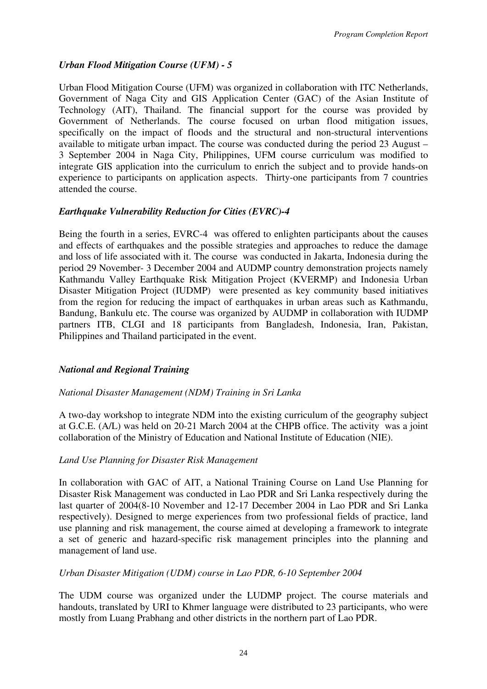# *Urban Flood Mitigation Course (UFM) - 5*

Urban Flood Mitigation Course (UFM) was organized in collaboration with ITC Netherlands, Government of Naga City and GIS Application Center (GAC) of the Asian Institute of Technology (AIT), Thailand. The financial support for the course was provided by Government of Netherlands. The course focused on urban flood mitigation issues, specifically on the impact of floods and the structural and non-structural interventions available to mitigate urban impact. The course was conducted during the period 23 August – 3 September 2004 in Naga City, Philippines, UFM course curriculum was modified to integrate GIS application into the curriculum to enrich the subject and to provide hands-on experience to participants on application aspects. Thirty-one participants from 7 countries attended the course.

# *Earthquake Vulnerability Reduction for Cities (EVRC)-4*

Being the fourth in a series, EVRC-4 was offered to enlighten participants about the causes and effects of earthquakes and the possible strategies and approaches to reduce the damage and loss of life associated with it. The course was conducted in Jakarta, Indonesia during the period 29 November- 3 December 2004 and AUDMP country demonstration projects namely Kathmandu Valley Earthquake Risk Mitigation Project (KVERMP) and Indonesia Urban Disaster Mitigation Project (IUDMP) were presented as key community based initiatives from the region for reducing the impact of earthquakes in urban areas such as Kathmandu, Bandung, Bankulu etc. The course was organized by AUDMP in collaboration with IUDMP partners ITB, CLGI and 18 participants from Bangladesh, Indonesia, Iran, Pakistan, Philippines and Thailand participated in the event.

### *National and Regional Training*

### *National Disaster Management (NDM) Training in Sri Lanka*

A two-day workshop to integrate NDM into the existing curriculum of the geography subject at G.C.E. (A/L) was held on 20-21 March 2004 at the CHPB office. The activity was a joint collaboration of the Ministry of Education and National Institute of Education (NIE).

### *Land Use Planning for Disaster Risk Management*

In collaboration with GAC of AIT, a National Training Course on Land Use Planning for Disaster Risk Management was conducted in Lao PDR and Sri Lanka respectively during the last quarter of 2004(8-10 November and 12-17 December 2004 in Lao PDR and Sri Lanka respectively). Designed to merge experiences from two professional fields of practice, land use planning and risk management, the course aimed at developing a framework to integrate a set of generic and hazard-specific risk management principles into the planning and management of land use.

### *Urban Disaster Mitigation (UDM) course in Lao PDR, 6-10 September 2004*

The UDM course was organized under the LUDMP project. The course materials and handouts, translated by URI to Khmer language were distributed to 23 participants, who were mostly from Luang Prabhang and other districts in the northern part of Lao PDR.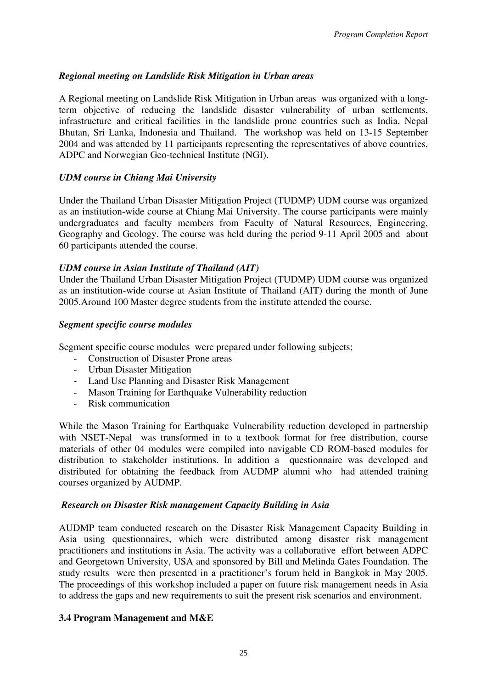# *Regional meeting on Landslide Risk Mitigation in Urban areas*

A Regional meeting on Landslide Risk Mitigation in Urban areas was organized with a longterm objective of reducing the landslide disaster vulnerability of urban settlements, infrastructure and critical facilities in the landslide prone countries such as India, Nepal Bhutan, Sri Lanka, Indonesia and Thailand. The workshop was held on 13-15 September 2004 and was attended by 11 participants representing the representatives of above countries, ADPC and Norwegian Geo-technical Institute (NGI).

## *UDM course in Chiang Mai University*

Under the Thailand Urban Disaster Mitigation Project (TUDMP) UDM course was organized as an institution-wide course at Chiang Mai University. The course participants were mainly undergraduates and faculty members from Faculty of Natural Resources, Engineering, Geography and Geology. The course was held during the period 9-11 April 2005 and about 60 participants attended the course.

### *UDM course in Asian Institute of Thailand (AIT)*

Under the Thailand Urban Disaster Mitigation Project (TUDMP) UDM course was organized as an institution-wide course at Asian Institute of Thailand (AIT) during the month of June 2005.Around 100 Master degree students from the institute attended the course.

### *Segment specific course modules*

Segment specific course modules were prepared under following subjects;

- Construction of Disaster Prone areas
- Urban Disaster Mitigation
- Land Use Planning and Disaster Risk Management
- Mason Training for Earthquake Vulnerability reduction
- Risk communication

While the Mason Training for Earthquake Vulnerability reduction developed in partnership with NSET-Nepal was transformed in to a textbook format for free distribution, course materials of other 04 modules were compiled into navigable CD ROM-based modules for distribution to stakeholder institutions. In addition a questionnaire was developed and distributed for obtaining the feedback from AUDMP alumni who had attended training courses organized by AUDMP.

### *Research on Disaster Risk management Capacity Building in Asia*

AUDMP team conducted research on the Disaster Risk Management Capacity Building in Asia using questionnaires, which were distributed among disaster risk management practitioners and institutions in Asia. The activity was a collaborative effort between ADPC and Georgetown University, USA and sponsored by Bill and Melinda Gates Foundation. The study results were then presented in a practitioner's forum held in Bangkok in May 2005. The proceedings of this workshop included a paper on future risk management needs in Asia to address the gaps and new requirements to suit the present risk scenarios and environment.

### **3.4 Program Management and M&E**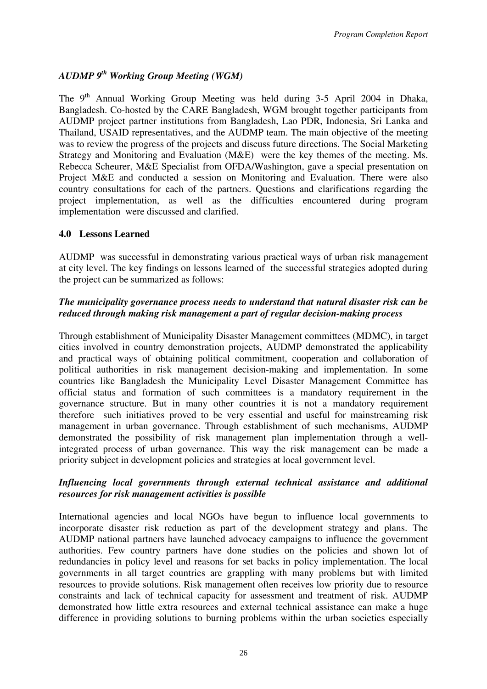# *AUDMP 9th Working Group Meeting (WGM)*

The 9<sup>th</sup> Annual Working Group Meeting was held during 3-5 April 2004 in Dhaka, Bangladesh. Co-hosted by the CARE Bangladesh, WGM brought together participants from AUDMP project partner institutions from Bangladesh, Lao PDR, Indonesia, Sri Lanka and Thailand, USAID representatives, and the AUDMP team. The main objective of the meeting was to review the progress of the projects and discuss future directions. The Social Marketing Strategy and Monitoring and Evaluation (M&E) were the key themes of the meeting. Ms. Rebecca Scheurer, M&E Specialist from OFDA/Washington, gave a special presentation on Project M&E and conducted a session on Monitoring and Evaluation. There were also country consultations for each of the partners. Questions and clarifications regarding the project implementation, as well as the difficulties encountered during program implementation were discussed and clarified.

# **4.0 Lessons Learned**

AUDMP was successful in demonstrating various practical ways of urban risk management at city level. The key findings on lessons learned of the successful strategies adopted during the project can be summarized as follows:

## *The municipality governance process needs to understand that natural disaster risk can be reduced through making risk management a part of regular decision-making process*

Through establishment of Municipality Disaster Management committees (MDMC), in target cities involved in country demonstration projects, AUDMP demonstrated the applicability and practical ways of obtaining political commitment, cooperation and collaboration of political authorities in risk management decision-making and implementation. In some countries like Bangladesh the Municipality Level Disaster Management Committee has official status and formation of such committees is a mandatory requirement in the governance structure. But in many other countries it is not a mandatory requirement therefore such initiatives proved to be very essential and useful for mainstreaming risk management in urban governance. Through establishment of such mechanisms, AUDMP demonstrated the possibility of risk management plan implementation through a wellintegrated process of urban governance. This way the risk management can be made a priority subject in development policies and strategies at local government level.

### *Influencing local governments through external technical assistance and additional resources for risk management activities is possible*

International agencies and local NGOs have begun to influence local governments to incorporate disaster risk reduction as part of the development strategy and plans. The AUDMP national partners have launched advocacy campaigns to influence the government authorities. Few country partners have done studies on the policies and shown lot of redundancies in policy level and reasons for set backs in policy implementation. The local governments in all target countries are grappling with many problems but with limited resources to provide solutions. Risk management often receives low priority due to resource constraints and lack of technical capacity for assessment and treatment of risk. AUDMP demonstrated how little extra resources and external technical assistance can make a huge difference in providing solutions to burning problems within the urban societies especially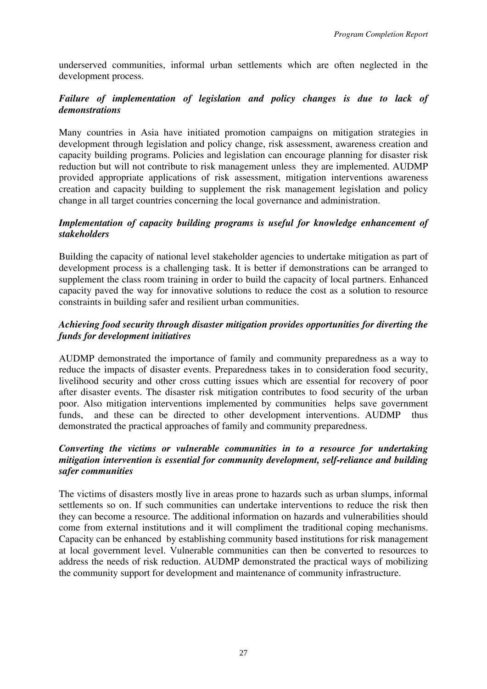underserved communities, informal urban settlements which are often neglected in the development process.

### *Failure of implementation of legislation and policy changes is due to lack of demonstrations*

Many countries in Asia have initiated promotion campaigns on mitigation strategies in development through legislation and policy change, risk assessment, awareness creation and capacity building programs. Policies and legislation can encourage planning for disaster risk reduction but will not contribute to risk management unless they are implemented. AUDMP provided appropriate applications of risk assessment, mitigation interventions awareness creation and capacity building to supplement the risk management legislation and policy change in all target countries concerning the local governance and administration.

### *Implementation of capacity building programs is useful for knowledge enhancement of stakeholders*

Building the capacity of national level stakeholder agencies to undertake mitigation as part of development process is a challenging task. It is better if demonstrations can be arranged to supplement the class room training in order to build the capacity of local partners. Enhanced capacity paved the way for innovative solutions to reduce the cost as a solution to resource constraints in building safer and resilient urban communities.

### *Achieving food security through disaster mitigation provides opportunities for diverting the funds for development initiatives*

AUDMP demonstrated the importance of family and community preparedness as a way to reduce the impacts of disaster events. Preparedness takes in to consideration food security, livelihood security and other cross cutting issues which are essential for recovery of poor after disaster events. The disaster risk mitigation contributes to food security of the urban poor. Also mitigation interventions implemented by communities helps save government funds, and these can be directed to other development interventions. AUDMP thus demonstrated the practical approaches of family and community preparedness.

### *Converting the victims or vulnerable communities in to a resource for undertaking mitigation intervention is essential for community development, self-reliance and building safer communities*

The victims of disasters mostly live in areas prone to hazards such as urban slumps, informal settlements so on. If such communities can undertake interventions to reduce the risk then they can become a resource. The additional information on hazards and vulnerabilities should come from external institutions and it will compliment the traditional coping mechanisms. Capacity can be enhanced by establishing community based institutions for risk management at local government level. Vulnerable communities can then be converted to resources to address the needs of risk reduction. AUDMP demonstrated the practical ways of mobilizing the community support for development and maintenance of community infrastructure.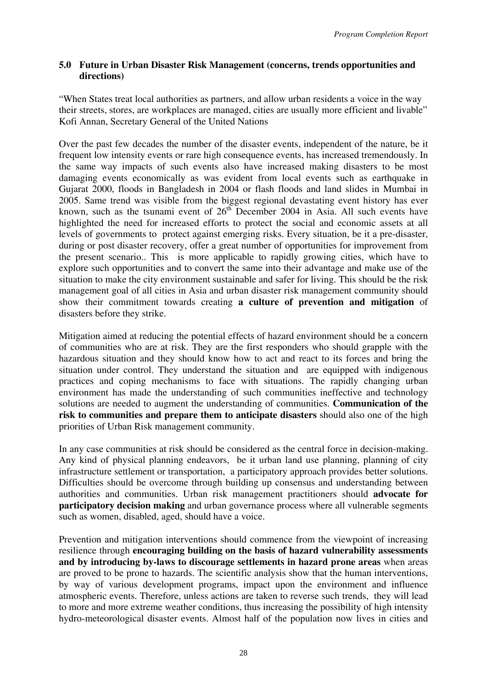### **5.0 Future in Urban Disaster Risk Management (concerns, trends opportunities and directions)**

"When States treat local authorities as partners, and allow urban residents a voice in the way their streets, stores, are workplaces are managed, cities are usually more efficient and livable" Kofi Annan, Secretary General of the United Nations

Over the past few decades the number of the disaster events, independent of the nature, be it frequent low intensity events or rare high consequence events, has increased tremendously. In the same way impacts of such events also have increased making disasters to be most damaging events economically as was evident from local events such as earthquake in Gujarat 2000, floods in Bangladesh in 2004 or flash floods and land slides in Mumbai in 2005. Same trend was visible from the biggest regional devastating event history has ever known, such as the tsunami event of  $26<sup>th</sup>$  December 2004 in Asia. All such events have highlighted the need for increased efforts to protect the social and economic assets at all levels of governments to protect against emerging risks. Every situation, be it a pre-disaster, during or post disaster recovery, offer a great number of opportunities for improvement from the present scenario.. This is more applicable to rapidly growing cities, which have to explore such opportunities and to convert the same into their advantage and make use of the situation to make the city environment sustainable and safer for living. This should be the risk management goal of all cities in Asia and urban disaster risk management community should show their commitment towards creating **a culture of prevention and mitigation** of disasters before they strike.

Mitigation aimed at reducing the potential effects of hazard environment should be a concern of communities who are at risk. They are the first responders who should grapple with the hazardous situation and they should know how to act and react to its forces and bring the situation under control. They understand the situation and are equipped with indigenous practices and coping mechanisms to face with situations. The rapidly changing urban environment has made the understanding of such communities ineffective and technology solutions are needed to augment the understanding of communities. **Communication of the risk to communities and prepare them to anticipate disasters** should also one of the high priorities of Urban Risk management community.

In any case communities at risk should be considered as the central force in decision-making. Any kind of physical planning endeavors, be it urban land use planning, planning of city infrastructure settlement or transportation, a participatory approach provides better solutions. Difficulties should be overcome through building up consensus and understanding between authorities and communities. Urban risk management practitioners should **advocate for participatory decision making** and urban governance process where all vulnerable segments such as women, disabled, aged, should have a voice.

Prevention and mitigation interventions should commence from the viewpoint of increasing resilience through **encouraging building on the basis of hazard vulnerability assessments and by introducing by-laws to discourage settlements in hazard prone areas** when areas are proved to be prone to hazards. The scientific analysis show that the human interventions, by way of various development programs, impact upon the environment and influence atmospheric events. Therefore, unless actions are taken to reverse such trends, they will lead to more and more extreme weather conditions, thus increasing the possibility of high intensity hydro-meteorological disaster events. Almost half of the population now lives in cities and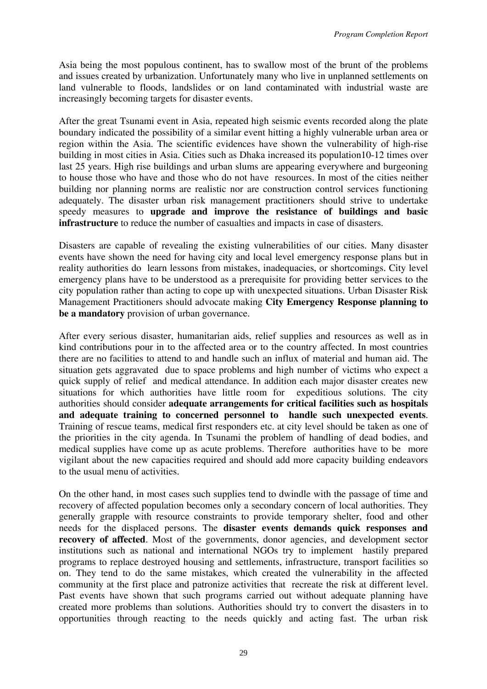Asia being the most populous continent, has to swallow most of the brunt of the problems and issues created by urbanization. Unfortunately many who live in unplanned settlements on land vulnerable to floods, landslides or on land contaminated with industrial waste are increasingly becoming targets for disaster events.

After the great Tsunami event in Asia, repeated high seismic events recorded along the plate boundary indicated the possibility of a similar event hitting a highly vulnerable urban area or region within the Asia. The scientific evidences have shown the vulnerability of high-rise building in most cities in Asia. Cities such as Dhaka increased its population10-12 times over last 25 years. High rise buildings and urban slums are appearing everywhere and burgeoning to house those who have and those who do not have resources. In most of the cities neither building nor planning norms are realistic nor are construction control services functioning adequately. The disaster urban risk management practitioners should strive to undertake speedy measures to **upgrade and improve the resistance of buildings and basic infrastructure** to reduce the number of casualties and impacts in case of disasters.

Disasters are capable of revealing the existing vulnerabilities of our cities. Many disaster events have shown the need for having city and local level emergency response plans but in reality authorities do learn lessons from mistakes, inadequacies, or shortcomings. City level emergency plans have to be understood as a prerequisite for providing better services to the city population rather than acting to cope up with unexpected situations. Urban Disaster Risk Management Practitioners should advocate making **City Emergency Response planning to be a mandatory** provision of urban governance.

After every serious disaster, humanitarian aids, relief supplies and resources as well as in kind contributions pour in to the affected area or to the country affected. In most countries there are no facilities to attend to and handle such an influx of material and human aid. The situation gets aggravated due to space problems and high number of victims who expect a quick supply of relief and medical attendance. In addition each major disaster creates new situations for which authorities have little room for expeditious solutions. The city authorities should consider **adequate arrangements for critical facilities such as hospitals and adequate training to concerned personnel to handle such unexpected events**. Training of rescue teams, medical first responders etc. at city level should be taken as one of the priorities in the city agenda. In Tsunami the problem of handling of dead bodies, and medical supplies have come up as acute problems. Therefore authorities have to be more vigilant about the new capacities required and should add more capacity building endeavors to the usual menu of activities.

On the other hand, in most cases such supplies tend to dwindle with the passage of time and recovery of affected population becomes only a secondary concern of local authorities. They generally grapple with resource constraints to provide temporary shelter, food and other needs for the displaced persons. The **disaster events demands quick responses and recovery of affected**. Most of the governments, donor agencies, and development sector institutions such as national and international NGOs try to implement hastily prepared programs to replace destroyed housing and settlements, infrastructure, transport facilities so on. They tend to do the same mistakes, which created the vulnerability in the affected community at the first place and patronize activities that recreate the risk at different level. Past events have shown that such programs carried out without adequate planning have created more problems than solutions. Authorities should try to convert the disasters in to opportunities through reacting to the needs quickly and acting fast. The urban risk